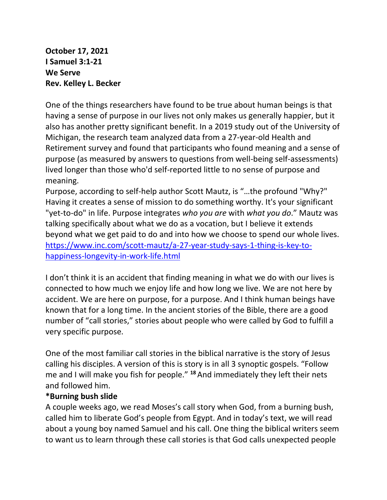**October 17, 2021 I Samuel 3:1-21 We Serve Rev. Kelley L. Becker**

One of the things researchers have found to be true about human beings is that having a sense of purpose in our lives not only makes us generally happier, but it also has another pretty significant benefit. In a 2019 study out of the University of Michigan, the research team analyzed data from a 27-year-old Health and Retirement survey and found that participants who found meaning and a sense of purpose (as measured by answers to questions from well-being self-assessments) lived longer than those who'd self-reported little to no sense of purpose and meaning.

Purpose, according to self-help author Scott Mautz, is "…the profound "Why?" Having it creates a sense of mission to do something worthy. It's your significant "yet-to-do" in life. Purpose integrates *who you are* with *what you do*." Mautz was talking specifically about what we do as a vocation, but I believe it extends beyond what we get paid to do and into how we choose to spend our whole lives. [https://www.inc.com/scott-mautz/a-27-year-study-says-1-thing-is-key-to](https://www.inc.com/scott-mautz/a-27-year-study-says-1-thing-is-key-to-happiness-longevity-in-work-life.html)[happiness-longevity-in-work-life.html](https://www.inc.com/scott-mautz/a-27-year-study-says-1-thing-is-key-to-happiness-longevity-in-work-life.html)

I don't think it is an accident that finding meaning in what we do with our lives is connected to how much we enjoy life and how long we live. We are not here by accident. We are here on purpose, for a purpose. And I think human beings have known that for a long time. In the ancient stories of the Bible, there are a good number of "call stories," stories about people who were called by God to fulfill a very specific purpose.

One of the most familiar call stories in the biblical narrative is the story of Jesus calling his disciples. A version of this is story is in all 3 synoptic gospels. "Follow me and I will make you fish for people." **<sup>18</sup>** And immediately they left their nets and followed him.

## **\*Burning bush slide**

A couple weeks ago, we read Moses's call story when God, from a burning bush, called him to liberate God's people from Egypt. And in today's text, we will read about a young boy named Samuel and his call. One thing the biblical writers seem to want us to learn through these call stories is that God calls unexpected people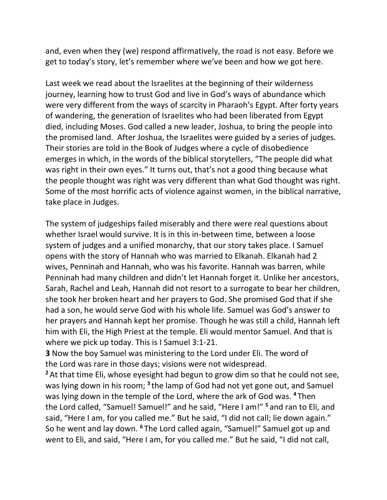and, even when they (we) respond affirmatively, the road is not easy. Before we get to today's story, let's remember where we've been and how we got here.

Last week we read about the Israelites at the beginning of their wilderness journey, learning how to trust God and live in God's ways of abundance which were very different from the ways of scarcity in Pharaoh's Egypt. After forty years of wandering, the generation of Israelites who had been liberated from Egypt died, including Moses. God called a new leader, Joshua, to bring the people into the promised land. After Joshua, the Israelites were guided by a series of judges. Their stories are told in the Book of Judges where a cycle of disobedience emerges in which, in the words of the biblical storytellers, "The people did what was right in their own eyes." It turns out, that's not a good thing because what the people thought was right was very different than what God thought was right. Some of the most horrific acts of violence against women, in the biblical narrative, take place in Judges.

The system of judgeships failed miserably and there were real questions about whether Israel would survive. It is in this in-between time, between a loose system of judges and a unified monarchy, that our story takes place. I Samuel opens with the story of Hannah who was married to Elkanah. Elkanah had 2 wives, Penninah and Hannah, who was his favorite. Hannah was barren, while Penninah had many children and didn't let Hannah forget it. Unlike her ancestors, Sarah, Rachel and Leah, Hannah did not resort to a surrogate to bear her children, she took her broken heart and her prayers to God. She promised God that if she had a son, he would serve God with his whole life. Samuel was God's answer to her prayers and Hannah kept her promise. Though he was still a child, Hannah left him with Eli, the High Priest at the temple. Eli would mentor Samuel. And that is where we pick up today. This is I Samuel 3:1-21.

**3** Now the boy Samuel was ministering to the Lord under Eli. The word of the Lord was rare in those days; visions were not widespread.

<sup>2</sup> At that time Eli, whose eyesight had begun to grow dim so that he could not see, was lying down in his room; **<sup>3</sup>** the lamp of God had not yet gone out, and Samuel was lying down in the temple of the Lord, where the ark of God was. **<sup>4</sup>** Then the Lord called, "Samuel! Samuel!" and he said, "Here I am!" **<sup>5</sup>** and ran to Eli, and said, "Here I am, for you called me." But he said, "I did not call; lie down again." So he went and lay down. **<sup>6</sup>** The Lord called again, "Samuel!" Samuel got up and went to Eli, and said, "Here I am, for you called me." But he said, "I did not call,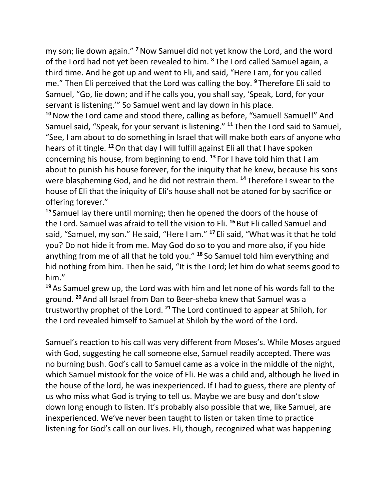my son; lie down again." **<sup>7</sup>**Now Samuel did not yet know the Lord, and the word of the Lord had not yet been revealed to him. **<sup>8</sup>** The Lord called Samuel again, a third time. And he got up and went to Eli, and said, "Here I am, for you called me." Then Eli perceived that the Lord was calling the boy. **<sup>9</sup>** Therefore Eli said to Samuel, "Go, lie down; and if he calls you, you shall say, 'Speak, Lord, for your servant is listening.'" So Samuel went and lay down in his place.

**<sup>10</sup>**Now the Lord came and stood there, calling as before, "Samuel! Samuel!" And Samuel said, "Speak, for your servant is listening." **<sup>11</sup>** Then the Lord said to Samuel, "See, I am about to do something in Israel that will make both ears of anyone who hears of it tingle. **<sup>12</sup>**On that day I will fulfill against Eli all that I have spoken concerning his house, from beginning to end. **<sup>13</sup>** For I have told him that I am about to punish his house forever, for the iniquity that he knew, because his sons were blaspheming God, and he did not restrain them. **<sup>14</sup>** Therefore I swear to the house of Eli that the iniquity of Eli's house shall not be atoned for by sacrifice or offering forever."

**<sup>15</sup>** Samuel lay there until morning; then he opened the doors of the house of the Lord. Samuel was afraid to tell the vision to Eli. **<sup>16</sup>** But Eli called Samuel and said, "Samuel, my son." He said, "Here I am." **<sup>17</sup>** Eli said, "What was it that he told you? Do not hide it from me. May God do so to you and more also, if you hide anything from me of all that he told you." **<sup>18</sup>** So Samuel told him everything and hid nothing from him. Then he said, "It is the Lord; let him do what seems good to him."

**<sup>19</sup>** As Samuel grew up, the Lord was with him and let none of his words fall to the ground. **<sup>20</sup>** And all Israel from Dan to Beer-sheba knew that Samuel was a trustworthy prophet of the Lord. **<sup>21</sup>** The Lord continued to appear at Shiloh, for the Lord revealed himself to Samuel at Shiloh by the word of the Lord.

Samuel's reaction to his call was very different from Moses's. While Moses argued with God, suggesting he call someone else, Samuel readily accepted. There was no burning bush. God's call to Samuel came as a voice in the middle of the night, which Samuel mistook for the voice of Eli. He was a child and, although he lived in the house of the lord, he was inexperienced. If I had to guess, there are plenty of us who miss what God is trying to tell us. Maybe we are busy and don't slow down long enough to listen. It's probably also possible that we, like Samuel, are inexperienced. We've never been taught to listen or taken time to practice listening for God's call on our lives. Eli, though, recognized what was happening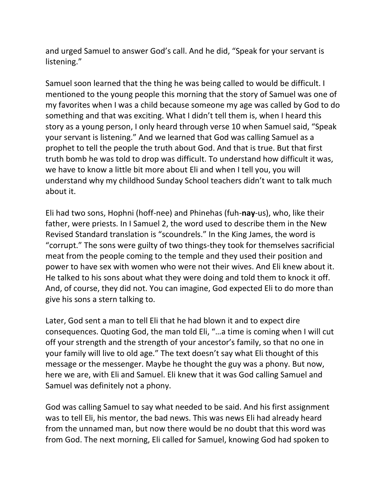and urged Samuel to answer God's call. And he did, "Speak for your servant is listening."

Samuel soon learned that the thing he was being called to would be difficult. I mentioned to the young people this morning that the story of Samuel was one of my favorites when I was a child because someone my age was called by God to do something and that was exciting. What I didn't tell them is, when I heard this story as a young person, I only heard through verse 10 when Samuel said, "Speak your servant is listening." And we learned that God was calling Samuel as a prophet to tell the people the truth about God. And that is true. But that first truth bomb he was told to drop was difficult. To understand how difficult it was, we have to know a little bit more about Eli and when I tell you, you will understand why my childhood Sunday School teachers didn't want to talk much about it.

Eli had two sons, Hophni (hoff-nee) and Phinehas (fuh-**nay**-us), who, like their father, were priests. In I Samuel 2, the word used to describe them in the New Revised Standard translation is "scoundrels." In the King James, the word is "corrupt." The sons were guilty of two things-they took for themselves sacrificial meat from the people coming to the temple and they used their position and power to have sex with women who were not their wives. And Eli knew about it. He talked to his sons about what they were doing and told them to knock it off. And, of course, they did not. You can imagine, God expected Eli to do more than give his sons a stern talking to.

Later, God sent a man to tell Eli that he had blown it and to expect dire consequences. Quoting God, the man told Eli, "…a time is coming when I will cut off your strength and the strength of your ancestor's family, so that no one in your family will live to old age." The text doesn't say what Eli thought of this message or the messenger. Maybe he thought the guy was a phony. But now, here we are, with Eli and Samuel. Eli knew that it was God calling Samuel and Samuel was definitely not a phony.

God was calling Samuel to say what needed to be said. And his first assignment was to tell Eli, his mentor, the bad news. This was news Eli had already heard from the unnamed man, but now there would be no doubt that this word was from God. The next morning, Eli called for Samuel, knowing God had spoken to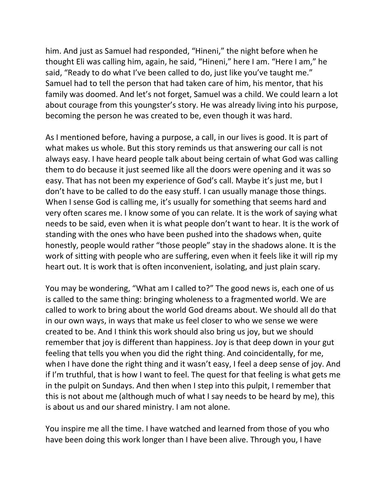him. And just as Samuel had responded, "Hineni," the night before when he thought Eli was calling him, again, he said, "Hineni," here I am. "Here I am," he said, "Ready to do what I've been called to do, just like you've taught me." Samuel had to tell the person that had taken care of him, his mentor, that his family was doomed. And let's not forget, Samuel was a child. We could learn a lot about courage from this youngster's story. He was already living into his purpose, becoming the person he was created to be, even though it was hard.

As I mentioned before, having a purpose, a call, in our lives is good. It is part of what makes us whole. But this story reminds us that answering our call is not always easy. I have heard people talk about being certain of what God was calling them to do because it just seemed like all the doors were opening and it was so easy. That has not been my experience of God's call. Maybe it's just me, but I don't have to be called to do the easy stuff. I can usually manage those things. When I sense God is calling me, it's usually for something that seems hard and very often scares me. I know some of you can relate. It is the work of saying what needs to be said, even when it is what people don't want to hear. It is the work of standing with the ones who have been pushed into the shadows when, quite honestly, people would rather "those people" stay in the shadows alone. It is the work of sitting with people who are suffering, even when it feels like it will rip my heart out. It is work that is often inconvenient, isolating, and just plain scary.

You may be wondering, "What am I called to?" The good news is, each one of us is called to the same thing: bringing wholeness to a fragmented world. We are called to work to bring about the world God dreams about. We should all do that in our own ways, in ways that make us feel closer to who we sense we were created to be. And I think this work should also bring us joy, but we should remember that joy is different than happiness. Joy is that deep down in your gut feeling that tells you when you did the right thing. And coincidentally, for me, when I have done the right thing and it wasn't easy, I feel a deep sense of joy. And if I'm truthful, that is how I want to feel. The quest for that feeling is what gets me in the pulpit on Sundays. And then when I step into this pulpit, I remember that this is not about me (although much of what I say needs to be heard by me), this is about us and our shared ministry. I am not alone.

You inspire me all the time. I have watched and learned from those of you who have been doing this work longer than I have been alive. Through you, I have